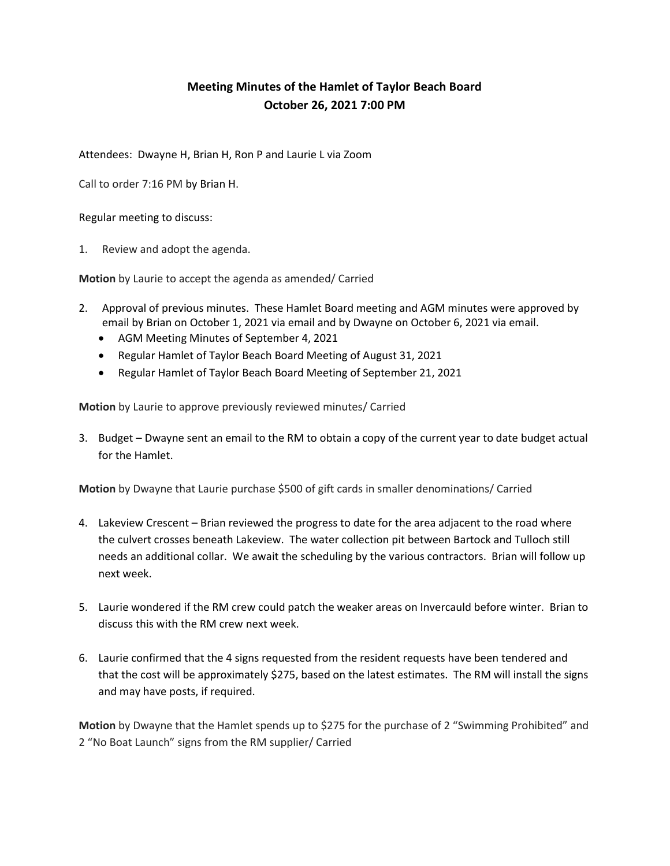## Meeting Minutes of the Hamlet of Taylor Beach Board October 26, 2021 7:00 PM

Attendees: Dwayne H, Brian H, Ron P and Laurie L via Zoom

Call to order 7:16 PM by Brian H.

Regular meeting to discuss:

1. Review and adopt the agenda.

Motion by Laurie to accept the agenda as amended/ Carried

- 2. Approval of previous minutes. These Hamlet Board meeting and AGM minutes were approved by email by Brian on October 1, 2021 via email and by Dwayne on October 6, 2021 via email.
	- AGM Meeting Minutes of September 4, 2021
	- Regular Hamlet of Taylor Beach Board Meeting of August 31, 2021
	- Regular Hamlet of Taylor Beach Board Meeting of September 21, 2021

Motion by Laurie to approve previously reviewed minutes/ Carried

3. Budget – Dwayne sent an email to the RM to obtain a copy of the current year to date budget actual for the Hamlet.

Motion by Dwayne that Laurie purchase \$500 of gift cards in smaller denominations/ Carried

- 4. Lakeview Crescent Brian reviewed the progress to date for the area adjacent to the road where the culvert crosses beneath Lakeview. The water collection pit between Bartock and Tulloch still needs an additional collar. We await the scheduling by the various contractors. Brian will follow up next week.
- 5. Laurie wondered if the RM crew could patch the weaker areas on Invercauld before winter. Brian to discuss this with the RM crew next week.
- 6. Laurie confirmed that the 4 signs requested from the resident requests have been tendered and that the cost will be approximately \$275, based on the latest estimates. The RM will install the signs and may have posts, if required.

Motion by Dwayne that the Hamlet spends up to \$275 for the purchase of 2 "Swimming Prohibited" and 2 "No Boat Launch" signs from the RM supplier/ Carried